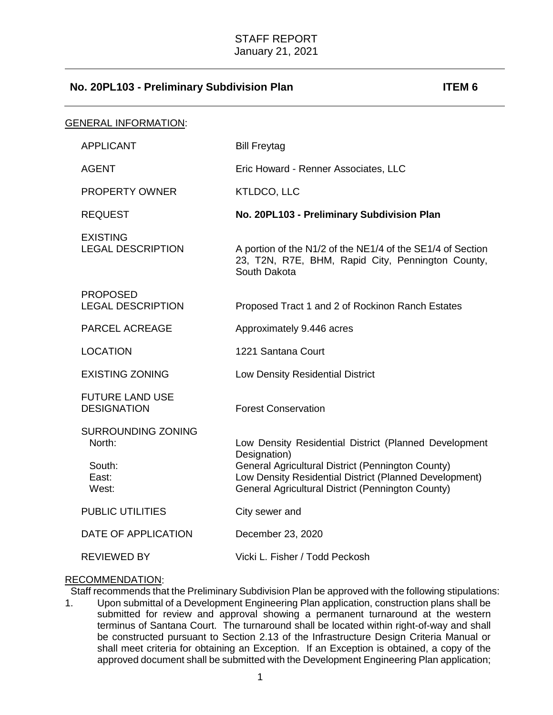| GENERAL INFORMATION:                                            |                                                                                                                                                                                                                                           |
|-----------------------------------------------------------------|-------------------------------------------------------------------------------------------------------------------------------------------------------------------------------------------------------------------------------------------|
| <b>APPLICANT</b>                                                | <b>Bill Freytag</b>                                                                                                                                                                                                                       |
| <b>AGENT</b>                                                    | Eric Howard - Renner Associates, LLC                                                                                                                                                                                                      |
| PROPERTY OWNER                                                  | <b>KTLDCO, LLC</b>                                                                                                                                                                                                                        |
| <b>REQUEST</b>                                                  | No. 20PL103 - Preliminary Subdivision Plan                                                                                                                                                                                                |
| <b>EXISTING</b><br><b>LEGAL DESCRIPTION</b>                     | A portion of the N1/2 of the NE1/4 of the SE1/4 of Section<br>23, T2N, R7E, BHM, Rapid City, Pennington County,<br>South Dakota                                                                                                           |
| <b>PROPOSED</b><br><b>LEGAL DESCRIPTION</b>                     | Proposed Tract 1 and 2 of Rockinon Ranch Estates                                                                                                                                                                                          |
| PARCEL ACREAGE                                                  | Approximately 9.446 acres                                                                                                                                                                                                                 |
| <b>LOCATION</b>                                                 | 1221 Santana Court                                                                                                                                                                                                                        |
| <b>EXISTING ZONING</b>                                          | Low Density Residential District                                                                                                                                                                                                          |
| <b>FUTURE LAND USE</b><br><b>DESIGNATION</b>                    | <b>Forest Conservation</b>                                                                                                                                                                                                                |
| <b>SURROUNDING ZONING</b><br>North:<br>South:<br>East:<br>West: | Low Density Residential District (Planned Development<br>Designation)<br>General Agricultural District (Pennington County)<br>Low Density Residential District (Planned Development)<br>General Agricultural District (Pennington County) |
| <b>PUBLIC UTILITIES</b>                                         | City sewer and                                                                                                                                                                                                                            |
| DATE OF APPLICATION                                             | December 23, 2020                                                                                                                                                                                                                         |
| <b>REVIEWED BY</b>                                              | Vicki L. Fisher / Todd Peckosh                                                                                                                                                                                                            |

### RECOMMENDATION:

Staff recommends that the Preliminary Subdivision Plan be approved with the following stipulations:

1. Upon submittal of a Development Engineering Plan application, construction plans shall be submitted for review and approval showing a permanent turnaround at the western terminus of Santana Court. The turnaround shall be located within right-of-way and shall be constructed pursuant to Section 2.13 of the Infrastructure Design Criteria Manual or shall meet criteria for obtaining an Exception. If an Exception is obtained, a copy of the approved document shall be submitted with the Development Engineering Plan application;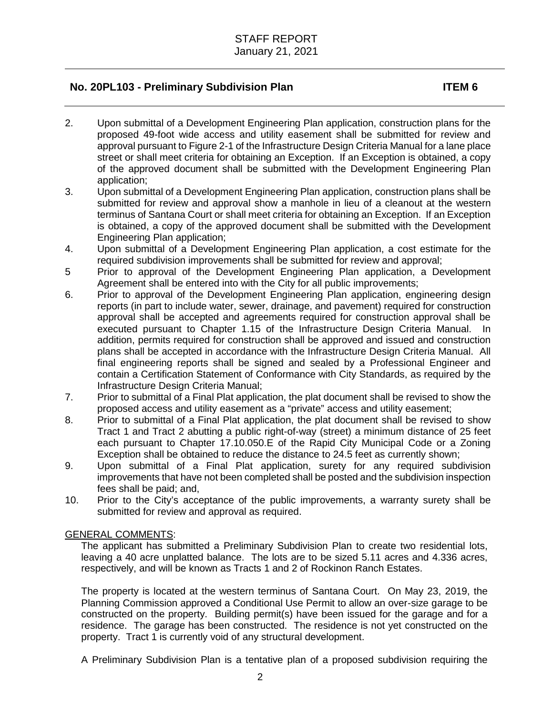- 2. Upon submittal of a Development Engineering Plan application, construction plans for the proposed 49-foot wide access and utility easement shall be submitted for review and approval pursuant to Figure 2-1 of the Infrastructure Design Criteria Manual for a lane place street or shall meet criteria for obtaining an Exception. If an Exception is obtained, a copy of the approved document shall be submitted with the Development Engineering Plan application;
- 3. Upon submittal of a Development Engineering Plan application, construction plans shall be submitted for review and approval show a manhole in lieu of a cleanout at the western terminus of Santana Court or shall meet criteria for obtaining an Exception. If an Exception is obtained, a copy of the approved document shall be submitted with the Development Engineering Plan application;
- 4. Upon submittal of a Development Engineering Plan application, a cost estimate for the required subdivision improvements shall be submitted for review and approval;
- 5 Prior to approval of the Development Engineering Plan application, a Development Agreement shall be entered into with the City for all public improvements;
- 6. Prior to approval of the Development Engineering Plan application, engineering design reports (in part to include water, sewer, drainage, and pavement) required for construction approval shall be accepted and agreements required for construction approval shall be executed pursuant to Chapter 1.15 of the Infrastructure Design Criteria Manual. In addition, permits required for construction shall be approved and issued and construction plans shall be accepted in accordance with the Infrastructure Design Criteria Manual. All final engineering reports shall be signed and sealed by a Professional Engineer and contain a Certification Statement of Conformance with City Standards, as required by the Infrastructure Design Criteria Manual;
- 7. Prior to submittal of a Final Plat application, the plat document shall be revised to show the proposed access and utility easement as a "private" access and utility easement;
- 8. Prior to submittal of a Final Plat application, the plat document shall be revised to show Tract 1 and Tract 2 abutting a public right-of-way (street) a minimum distance of 25 feet each pursuant to Chapter 17.10.050.E of the Rapid City Municipal Code or a Zoning Exception shall be obtained to reduce the distance to 24.5 feet as currently shown;
- 9. Upon submittal of a Final Plat application, surety for any required subdivision improvements that have not been completed shall be posted and the subdivision inspection fees shall be paid; and,
- 10. Prior to the City's acceptance of the public improvements, a warranty surety shall be submitted for review and approval as required.

### GENERAL COMMENTS:

The applicant has submitted a Preliminary Subdivision Plan to create two residential lots, leaving a 40 acre unplatted balance. The lots are to be sized 5.11 acres and 4.336 acres, respectively, and will be known as Tracts 1 and 2 of Rockinon Ranch Estates.

The property is located at the western terminus of Santana Court. On May 23, 2019, the Planning Commission approved a Conditional Use Permit to allow an over-size garage to be constructed on the property. Building permit(s) have been issued for the garage and for a residence. The garage has been constructed. The residence is not yet constructed on the property. Tract 1 is currently void of any structural development.

A Preliminary Subdivision Plan is a tentative plan of a proposed subdivision requiring the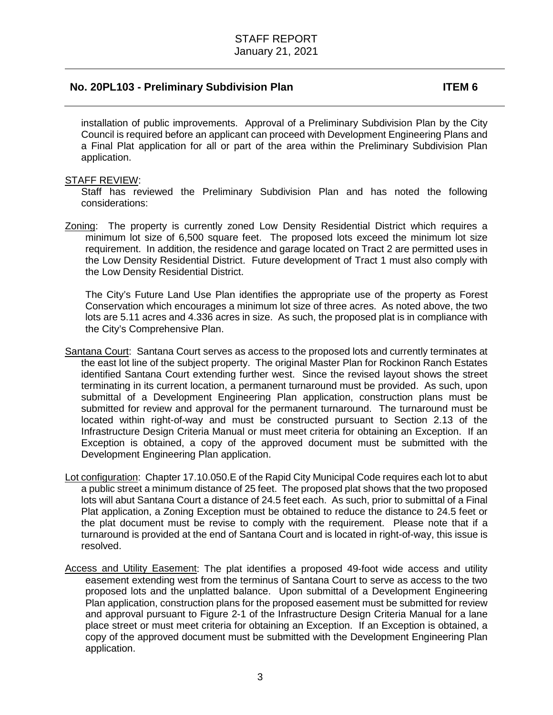installation of public improvements. Approval of a Preliminary Subdivision Plan by the City Council is required before an applicant can proceed with Development Engineering Plans and a Final Plat application for all or part of the area within the Preliminary Subdivision Plan application.

### STAFF REVIEW:

Staff has reviewed the Preliminary Subdivision Plan and has noted the following considerations:

Zoning: The property is currently zoned Low Density Residential District which requires a minimum lot size of 6,500 square feet. The proposed lots exceed the minimum lot size requirement. In addition, the residence and garage located on Tract 2 are permitted uses in the Low Density Residential District. Future development of Tract 1 must also comply with the Low Density Residential District.

The City's Future Land Use Plan identifies the appropriate use of the property as Forest Conservation which encourages a minimum lot size of three acres. As noted above, the two lots are 5.11 acres and 4.336 acres in size. As such, the proposed plat is in compliance with the City's Comprehensive Plan.

- Santana Court: Santana Court serves as access to the proposed lots and currently terminates at the east lot line of the subject property. The original Master Plan for Rockinon Ranch Estates identified Santana Court extending further west. Since the revised layout shows the street terminating in its current location, a permanent turnaround must be provided. As such, upon submittal of a Development Engineering Plan application, construction plans must be submitted for review and approval for the permanent turnaround. The turnaround must be located within right-of-way and must be constructed pursuant to Section 2.13 of the Infrastructure Design Criteria Manual or must meet criteria for obtaining an Exception. If an Exception is obtained, a copy of the approved document must be submitted with the Development Engineering Plan application.
- Lot configuration: Chapter 17.10.050.E of the Rapid City Municipal Code requires each lot to abut a public street a minimum distance of 25 feet. The proposed plat shows that the two proposed lots will abut Santana Court a distance of 24.5 feet each. As such, prior to submittal of a Final Plat application, a Zoning Exception must be obtained to reduce the distance to 24.5 feet or the plat document must be revise to comply with the requirement. Please note that if a turnaround is provided at the end of Santana Court and is located in right-of-way, this issue is resolved.
- Access and Utility Easement: The plat identifies a proposed 49-foot wide access and utility easement extending west from the terminus of Santana Court to serve as access to the two proposed lots and the unplatted balance. Upon submittal of a Development Engineering Plan application, construction plans for the proposed easement must be submitted for review and approval pursuant to Figure 2-1 of the Infrastructure Design Criteria Manual for a lane place street or must meet criteria for obtaining an Exception. If an Exception is obtained, a copy of the approved document must be submitted with the Development Engineering Plan application.